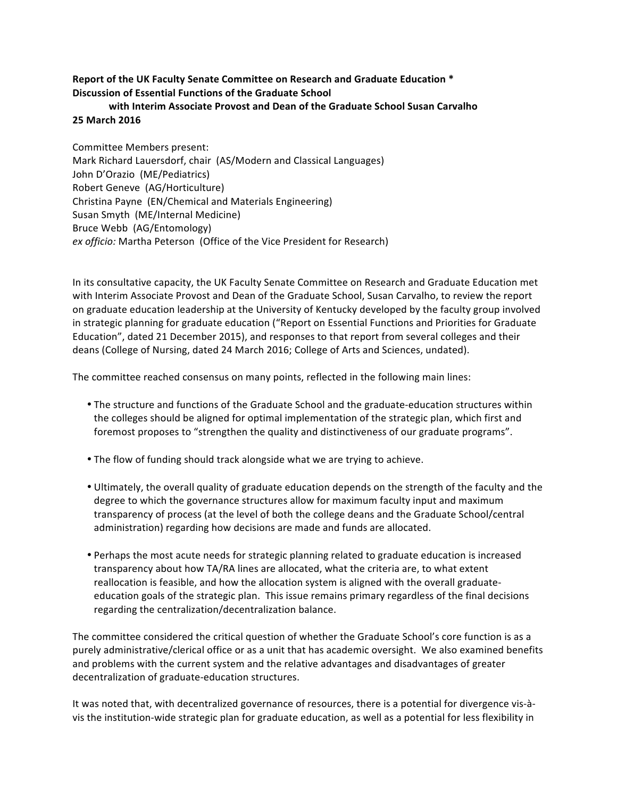## **Report of the UK Faculty Senate Committee on Research and Graduate Education \* Discussion of Essential Functions of the Graduate School**

## with Interim Associate Provost and Dean of the Graduate School Susan Carvalho **25 March 2016**

Committee Members present: Mark Richard Lauersdorf, chair (AS/Modern and Classical Languages) John D'Orazio (ME/Pediatrics) Robert Geneve (AG/Horticulture) Christina Payne (EN/Chemical and Materials Engineering) Susan Smyth (ME/Internal Medicine) Bruce Webb (AG/Entomology) *ex officio:* Martha Peterson (Office of the Vice President for Research)

In its consultative capacity, the UK Faculty Senate Committee on Research and Graduate Education met with Interim Associate Provost and Dean of the Graduate School, Susan Carvalho, to review the report on graduate education leadership at the University of Kentucky developed by the faculty group involved in strategic planning for graduate education ("Report on Essential Functions and Priorities for Graduate Education", dated 21 December 2015), and responses to that report from several colleges and their deans (College of Nursing, dated 24 March 2016; College of Arts and Sciences, undated).

The committee reached consensus on many points, reflected in the following main lines:

- The structure and functions of the Graduate School and the graduate-education structures within the colleges should be aligned for optimal implementation of the strategic plan, which first and foremost proposes to "strengthen the quality and distinctiveness of our graduate programs".
- The flow of funding should track alongside what we are trying to achieve.
- Ultimately, the overall quality of graduate education depends on the strength of the faculty and the degree to which the governance structures allow for maximum faculty input and maximum transparency of process (at the level of both the college deans and the Graduate School/central administration) regarding how decisions are made and funds are allocated.
- Perhaps the most acute needs for strategic planning related to graduate education is increased transparency about how TA/RA lines are allocated, what the criteria are, to what extent reallocation is feasible, and how the allocation system is aligned with the overall graduateeducation goals of the strategic plan. This issue remains primary regardless of the final decisions regarding the centralization/decentralization balance.

The committee considered the critical question of whether the Graduate School's core function is as a purely administrative/clerical office or as a unit that has academic oversight. We also examined benefits and problems with the current system and the relative advantages and disadvantages of greater decentralization of graduate-education structures.

It was noted that, with decentralized governance of resources, there is a potential for divergence vis-àvis the institution-wide strategic plan for graduate education, as well as a potential for less flexibility in